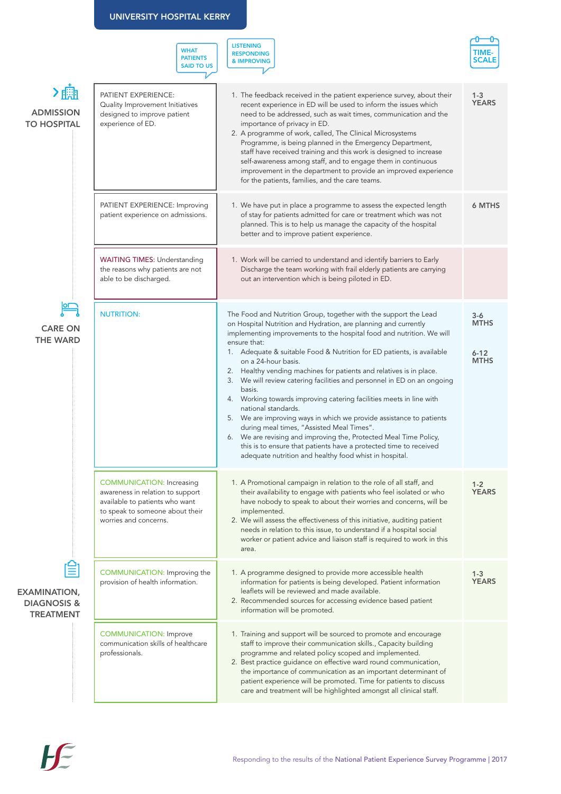|                                                                   | <b>UNIVERSITY HOSPITAL KERRY</b>                                                                                                                                   |                                                                                                                                                                                                                                                                                                                                                                                                                                                                                                                                                                                                                                                                                                                                                                                                                                                                                                                |                                                 |
|-------------------------------------------------------------------|--------------------------------------------------------------------------------------------------------------------------------------------------------------------|----------------------------------------------------------------------------------------------------------------------------------------------------------------------------------------------------------------------------------------------------------------------------------------------------------------------------------------------------------------------------------------------------------------------------------------------------------------------------------------------------------------------------------------------------------------------------------------------------------------------------------------------------------------------------------------------------------------------------------------------------------------------------------------------------------------------------------------------------------------------------------------------------------------|-------------------------------------------------|
|                                                                   | <b>WHAT</b><br><b>PATIENTS</b><br><b>SAID TO US</b>                                                                                                                | <b>LISTENING</b><br><b>RESPONDING</b><br>& IMPROVING                                                                                                                                                                                                                                                                                                                                                                                                                                                                                                                                                                                                                                                                                                                                                                                                                                                           | TIME<br><b>SCALE</b>                            |
| ゝ醞<br><b>ADMISSION</b><br><b>TO HOSPITAL</b>                      | PATIENT EXPERIENCE:<br>Quality Improvement Initiatives<br>designed to improve patient<br>experience of ED.                                                         | 1. The feedback received in the patient experience survey, about their<br>recent experience in ED will be used to inform the issues which<br>need to be addressed, such as wait times, communication and the<br>importance of privacy in ED.<br>2. A programme of work, called, The Clinical Microsystems<br>Programme, is being planned in the Emergency Department,<br>staff have received training and this work is designed to increase<br>self-awareness among staff, and to engage them in continuous<br>improvement in the department to provide an improved experience<br>for the patients, families, and the care teams.                                                                                                                                                                                                                                                                              | $1 - 3$<br><b>YEARS</b>                         |
| <b>CARE ON</b><br><b>THE WARD</b>                                 | PATIENT EXPERIENCE: Improving<br>patient experience on admissions.                                                                                                 | 1. We have put in place a programme to assess the expected length<br>of stay for patients admitted for care or treatment which was not<br>planned. This is to help us manage the capacity of the hospital<br>better and to improve patient experience.                                                                                                                                                                                                                                                                                                                                                                                                                                                                                                                                                                                                                                                         | 6 MTHS                                          |
|                                                                   | <b>WAITING TIMES: Understanding</b><br>the reasons why patients are not<br>able to be discharged.                                                                  | 1. Work will be carried to understand and identify barriers to Early<br>Discharge the team working with frail elderly patients are carrying<br>out an intervention which is being piloted in ED.                                                                                                                                                                                                                                                                                                                                                                                                                                                                                                                                                                                                                                                                                                               |                                                 |
|                                                                   | <b>NUTRITION:</b>                                                                                                                                                  | The Food and Nutrition Group, together with the support the Lead<br>on Hospital Nutrition and Hydration, are planning and currently<br>implementing improvements to the hospital food and nutrition. We will<br>ensure that:<br>1. Adequate & suitable Food & Nutrition for ED patients, is available<br>on a 24-hour basis.<br>2. Healthy vending machines for patients and relatives is in place.<br>3. We will review catering facilities and personnel in ED on an ongoing<br>basis.<br>4. Working towards improving catering facilities meets in line with<br>national standards.<br>5. We are improving ways in which we provide assistance to patients<br>during meal times, "Assisted Meal Times".<br>6. We are revising and improving the, Protected Meal Time Policy,<br>this is to ensure that patients have a protected time to received<br>adequate nutrition and healthy food whist in hospital. | $3-6$<br><b>MTHS</b><br>$6 - 12$<br><b>MTHS</b> |
| <b>EXAMINATION,</b><br><b>DIAGNOSIS &amp;</b><br><b>TREATMENT</b> | <b>COMMUNICATION: Increasing</b><br>awareness in relation to support<br>available to patients who want<br>to speak to someone about their<br>worries and concerns. | 1. A Promotional campaign in relation to the role of all staff, and<br>their availability to engage with patients who feel isolated or who<br>have nobody to speak to about their worries and concerns, will be<br>implemented.<br>2. We will assess the effectiveness of this initiative, auditing patient<br>needs in relation to this issue, to understand if a hospital social<br>worker or patient advice and liaison staff is required to work in this<br>area.                                                                                                                                                                                                                                                                                                                                                                                                                                          | $1 - 2$<br><b>YEARS</b>                         |
|                                                                   | COMMUNICATION: Improving the<br>provision of health information.                                                                                                   | 1. A programme designed to provide more accessible health<br>information for patients is being developed. Patient information<br>leaflets will be reviewed and made available.<br>2. Recommended sources for accessing evidence based patient<br>information will be promoted.                                                                                                                                                                                                                                                                                                                                                                                                                                                                                                                                                                                                                                 | $1 - 3$<br><b>YEARS</b>                         |
|                                                                   | <b>COMMUNICATION: Improve</b><br>communication skills of healthcare<br>professionals.                                                                              | 1. Training and support will be sourced to promote and encourage<br>staff to improve their communication skills., Capacity building<br>programme and related policy scoped and implemented.<br>2. Best practice guidance on effective ward round communication,<br>the importance of communication as an important determinant of<br>patient experience will be promoted. Time for patients to discuss<br>care and treatment will be highlighted amongst all clinical staff.                                                                                                                                                                                                                                                                                                                                                                                                                                   |                                                 |